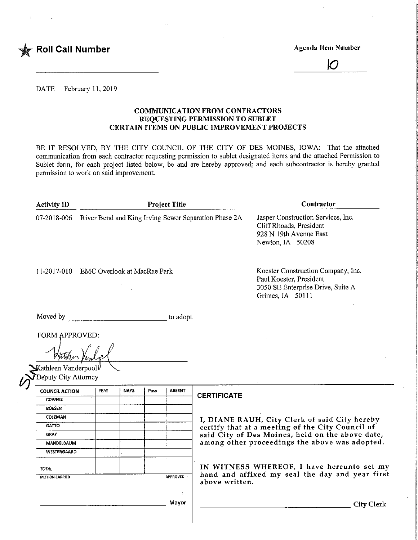

 $\overline{O}$ 

DATE February 11, 2019

#### COMMUNICATION FROM CONTRACTORS REQUESTING PERMISSION TO SUBLET CERTAIN ITEMS ON PUBLIC IMPROVEMENT PROJECTS

BE IT RESOLVED, BY THE CITY COUNCIL OF THE CITY OF DES MOINES, IOWA: That the attached communication from each contractor requesting permission to sublet designated items and the attached Permission to Sublet form, for each project listed below, be and are hereby approved; and each subcontractor is hereby granted permission to work on said improvement.

| <b>Activity ID</b>                           | <b>Project Title</b>                                             |             |      |               | Contractor                                                                                                             |
|----------------------------------------------|------------------------------------------------------------------|-------------|------|---------------|------------------------------------------------------------------------------------------------------------------------|
|                                              | 07-2018-006 River Bend and King Irving Sewer Separation Phase 2A |             |      |               | Jasper Construction Services, Inc.<br>Cliff Rhoads, President<br>928 N 19th Avenue East<br>Newton, IA 50208            |
| 11-2017-010 EMC Overlook at MacRae Park      |                                                                  |             |      |               | Koester Construction Company, Inc.<br>Paul Koester, President<br>3050 SE Enterprise Drive, Suite A<br>Grimes, IA 50111 |
| Moved by                                     |                                                                  |             |      | to adopt.     |                                                                                                                        |
|                                              |                                                                  |             |      |               |                                                                                                                        |
| <b>FORM APPROVED:</b>                        |                                                                  |             |      |               |                                                                                                                        |
| Kathleen Vanderpool∥<br>Deputy City Attorney |                                                                  |             |      |               |                                                                                                                        |
| <b>COUNCIL ACTION</b>                        | <b>YEAS</b>                                                      | <b>NAYS</b> | Pass | <b>ABSENT</b> |                                                                                                                        |
| <b>COWNIE</b>                                |                                                                  |             |      |               | <b>CERTIFICATE</b>                                                                                                     |
| <b>BOESEN</b>                                |                                                                  |             |      |               |                                                                                                                        |
| <b>COLEMAN</b>                               |                                                                  |             |      |               |                                                                                                                        |
| <b>GATTO</b>                                 |                                                                  |             |      |               | I, DIANE RAUH, City Clerk of said City hereby<br>certify that at a meeting of the City Council of                      |
| <b>GRAY</b>                                  |                                                                  |             |      |               | said City of Des Moines, held on the above date,                                                                       |
| <b>MANDELBAUM</b>                            |                                                                  |             |      |               | among other proceedings the above was adopted.                                                                         |
| WESTERGAARD                                  |                                                                  |             |      |               |                                                                                                                        |
| TOTAL                                        |                                                                  |             |      |               | IN WITNESS WHEREOF, I have hereunto set my                                                                             |
| MOTION CARRIED<br>$\sim$                     |                                                                  |             |      | APPROVED      | hand and affixed my seal the day and year first<br>above written.                                                      |
|                                              |                                                                  |             |      | Mayor         | <b>City Clerk</b>                                                                                                      |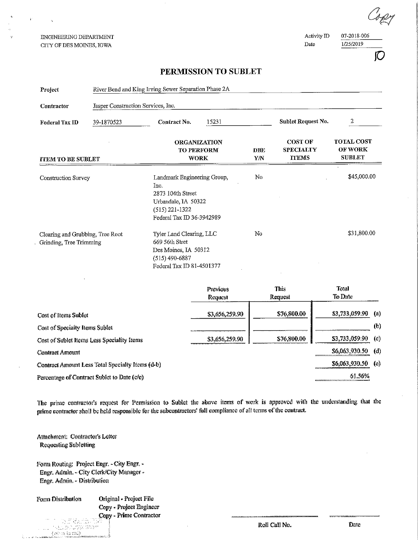ENGINEERING DEPARTMENT CITY OF DES MOINES, IOWA

 $\mathbf{r}^{\perp}$ 

Activity ID Date

07-2018-006 1/25/2019

### PERMISSION TO SUBLET

| Project                                          | River Bend and King Irving Sewer Separation Phase 2A        |                                                                                                                                    |                                                                                                                       |    |                                                    |                                                      |                            |
|--------------------------------------------------|-------------------------------------------------------------|------------------------------------------------------------------------------------------------------------------------------------|-----------------------------------------------------------------------------------------------------------------------|----|----------------------------------------------------|------------------------------------------------------|----------------------------|
| Contractor                                       | Jasper Construction Services, Inc.                          |                                                                                                                                    |                                                                                                                       |    |                                                    |                                                      |                            |
| Federal Tax ID                                   | 39-1870523                                                  | Contract No.                                                                                                                       | 15231                                                                                                                 |    | Sublet Request No.                                 | 2                                                    |                            |
| <b>ITEM TO BE SUBLET</b>                         |                                                             |                                                                                                                                    | <b>ORGANIZATION</b><br>TO PERFORM<br><b>DBE</b><br>YN<br><b>WORK</b>                                                  |    | <b>COST OF</b><br><b>SPECIALTY</b><br><b>ITEMS</b> | <b>TOTAL COST</b><br><b>OF WORK</b><br><b>SUBLET</b> |                            |
| Construction Survey                              |                                                             | Landmark Engineering Group,<br>Inc.<br>2873 104th Street<br>Urbandale, IA 50322<br>$(515) 221 - 1322$<br>Federal Tax ID 36-3942989 |                                                                                                                       | No |                                                    | \$45,000.00                                          |                            |
|                                                  | Clearing and Grubbing, Tree Root<br>Grinding, Tree Trimming |                                                                                                                                    | Tyler Land Clearing, LLC<br>669 56th Stret<br>Des Moines, IA 50312<br>$(515) 490 - 6887$<br>Federal Tax ID 81-4501377 |    |                                                    | \$31,800.00                                          |                            |
|                                                  |                                                             |                                                                                                                                    | Previous<br>Request                                                                                                   |    | <b>This</b><br>Request                             | Total<br>To Date                                     |                            |
| Cost of Items Sublet                             |                                                             |                                                                                                                                    | \$3,656,259.90                                                                                                        |    | \$76,800.00                                        | \$3,733,059.90                                       | (a)                        |
| Cost of Specialty Items Sublet                   |                                                             |                                                                                                                                    |                                                                                                                       |    |                                                    |                                                      | (b)                        |
| Cost of Sublet Items Less Speciality Items       |                                                             |                                                                                                                                    | \$3,656,259.90                                                                                                        |    | \$76,800.00                                        | 53,733,059.90                                        | $\left( \mathbb{C}\right)$ |
| <b>Contract Amount</b>                           |                                                             |                                                                                                                                    |                                                                                                                       |    |                                                    | \$6,063,930.50                                       | (d)                        |
| Contract Amount Less Total Specialty Items (d-b) |                                                             |                                                                                                                                    |                                                                                                                       |    |                                                    | \$6,063,930.50                                       | $\left( \alpha \right)$    |

Percentage of Contract Sublet to Date (c/e)

The prime contractor's request for Permission to Sublet the above items of work is approved with the understanding that the prime contractor shall be held responsible for the subcontractors' full compliance of all terms of the contract.

Attachment: Contractor's Letter Requesting Subletting

 $\begin{array}{ll} \begin{array}{l} \text{I} & \text{I} & \text{I} & \text{I} & \text{I} \\ \text{I} & \text{I} & \text{I} & \text{I} & \text{I} \end{array} \end{array} \begin{array}{ll} \begin{array}{ll} \text{I} & \text{I} & \text{I} \\ \text{I} & \text{I} & \text{I} \end{array} \end{array}$ 

 $\langle \sqrt{m}$  in fa rould

Form Routing: Project Engr. - City Engr. -Engr. Admin. - City Clerk/City Manager -Engr. Admin. - Distribution

amanasan <del>a</del>

Form Distribution

 $\mathbf{r}$ 

Ì.

Original - Project File Copy - Project Engineer Copy - Prime Contractor

Roll Call No.

Date

61.56%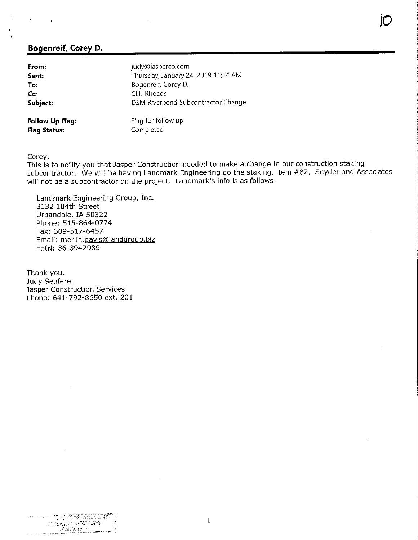# Bogenreif, Corey D.

| From:                                         | judy@jasperco.com                   |
|-----------------------------------------------|-------------------------------------|
| Sent:                                         | Thursday, January 24, 2019 11:14 AM |
| To:                                           | Bogenreif, Corey D.                 |
| Cc:                                           | Cliff Rhoads                        |
| Subject:                                      | DSM Riverbend Subcontractor Change  |
| <b>Follow Up Flag:</b><br><b>Flag Status:</b> | Flag for follow up<br>Completed     |

Corey,

 $\mathbf{r}$ 

This is to notify you that Jasper Construction needed to make a change in our construction staking subcontractor. We will be having Landmark Engineering do the staking, item #82. Snyder and Associates will not be a subcontractor on the project. Landmark's info is as follows:

Landmark Engineering Group, Inc. 3132 104th Street Urbandale, IA 50322 Phone; 515-864-0774 Fax: 309-517-6457 Email: merlin.davis@landqroup.biz FEIN: 36-3942989

Thank you, Judy Seuferer Jasper Construction Services Phone: 641-792-8650 ext. 201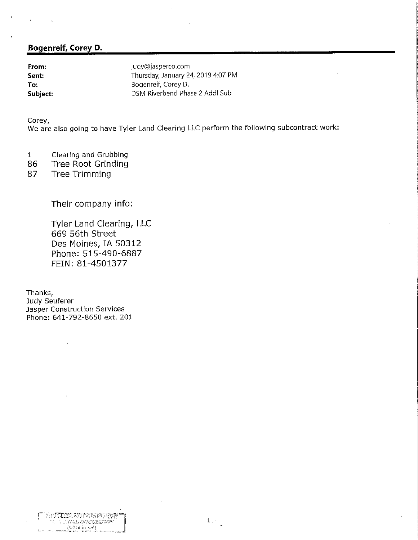## Bogenreif, Corey D.

**From:** From: judy@jasperco.com<br> **Sent:** Fhursday, January 24 Thursday, January 24, 2019 4:07 PM To: Bogenreif, Corey D.<br>
Subject: DSM Riverbend Pha DSM Riverbend Phase 2 Addl Sub

Corey,

We are also going to have Tyler Land Clearing LLC perform the following subcontract work:

- 1 Clearing and Grubbing
- 86 Tree Root Grinding<br>87 Tree Trimming
- Tree Trimming

Their company info:

Tyler Land Clearing, LLC. 669 56th Street Des Moines, IA 50312 Phone: 515-490-6887 FEIN: 81-4501377

Thanks, Judy Seuferer Jasper Construction Services Phone: 641-792-8650 ext. 201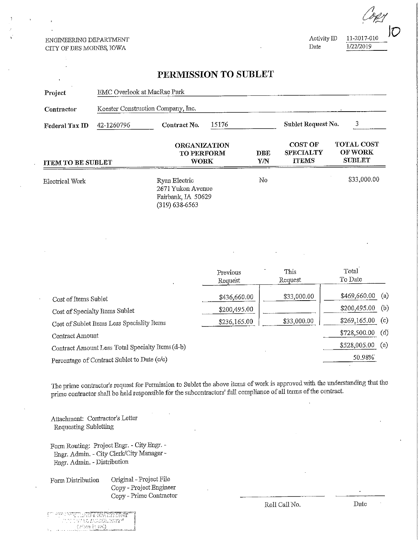#### ENGINEERING DEPARTMENT CITY OF DES MOINES, IOWA

 $\frac{11-2017-010}{100}{\pi}$ Date

 $1/2$ 

 $\vee$ 

## PERMISSION TO SUBLET

| Project                                     | EMC Overlook at MacRae Park                      |                                                                              |                                                         |             |                                                    |                                                      |  |
|---------------------------------------------|--------------------------------------------------|------------------------------------------------------------------------------|---------------------------------------------------------|-------------|----------------------------------------------------|------------------------------------------------------|--|
| Contractor                                  |                                                  | Koester Construction Company, Inc.                                           |                                                         |             |                                                    |                                                      |  |
| Federal Tax ID                              | 42-1260796                                       | Contract No.                                                                 | 15176                                                   |             | Sublet Request No.                                 | 3                                                    |  |
| <b>ITEM TO BE SUBLET</b>                    |                                                  |                                                                              | <b>ORGANIZATION</b><br><b>TO PERFORM</b><br><b>WORK</b> |             | <b>COST OF</b><br><b>SPECIALTY</b><br><b>TTEMS</b> | <b>TOTAL COST</b><br><b>OF WORK</b><br><b>SUBLET</b> |  |
| <b>Electrical Work</b>                      |                                                  | Ryan Electric<br>2671 Yukon Avenue<br>Fairbank, IA 50629<br>$(319)$ 638-6563 |                                                         | No          |                                                    | \$33,000.00                                          |  |
|                                             |                                                  |                                                                              |                                                         |             |                                                    |                                                      |  |
|                                             |                                                  |                                                                              | Previous<br>Request                                     |             | This<br>Request                                    | Total<br>To Date                                     |  |
| Cost of Items Sublet                        |                                                  |                                                                              | \$436,660.00                                            |             | \$33,000.00                                        | \$469,660.00<br>(a)                                  |  |
|                                             | Cost of Specialty Items Sublet                   |                                                                              | \$200,495.00                                            |             |                                                    | \$200,495.00<br>(b)                                  |  |
| Cost of Sublet Items Less Speciality Items  |                                                  | \$236,165.00                                                                 |                                                         | \$33,000.00 | \$269,165.00<br>(c)                                |                                                      |  |
| Contract Amount                             |                                                  |                                                                              |                                                         |             |                                                    | \$728,500.00<br>(d)                                  |  |
|                                             | Contract Amount Less Total Specialty Items (d-b) |                                                                              |                                                         |             |                                                    | \$528,005.00<br>(e)                                  |  |
| Percentage of Contract Sublet to Date (c/e) |                                                  |                                                                              |                                                         |             |                                                    | 50.98%                                               |  |

The prime contractor's request for Permission to Sublet the above items of work is approved with the understanding that the prime contractor shall be held responsible for tihe subcontractors' full compliance of all terms of the contract,

Attachment: Contractor's Letter Requesting Subletting

Form Routing: Project Engr. - City Engr. -Bngr. Admin. - City Clerit/Cify Manager - Eagr. Admm. - Distribution

Porm Distribution Original - Project File Copy - Project Engineer Copy - Prime Contractor

|  | WE FETTING LIKE THE STREET                                |
|--|-----------------------------------------------------------|
|  | TET TYPI 12 DO COLENYA"                                   |
|  | (1912an in red)<br>A service of the control specialist of |

Roll Call No. Date